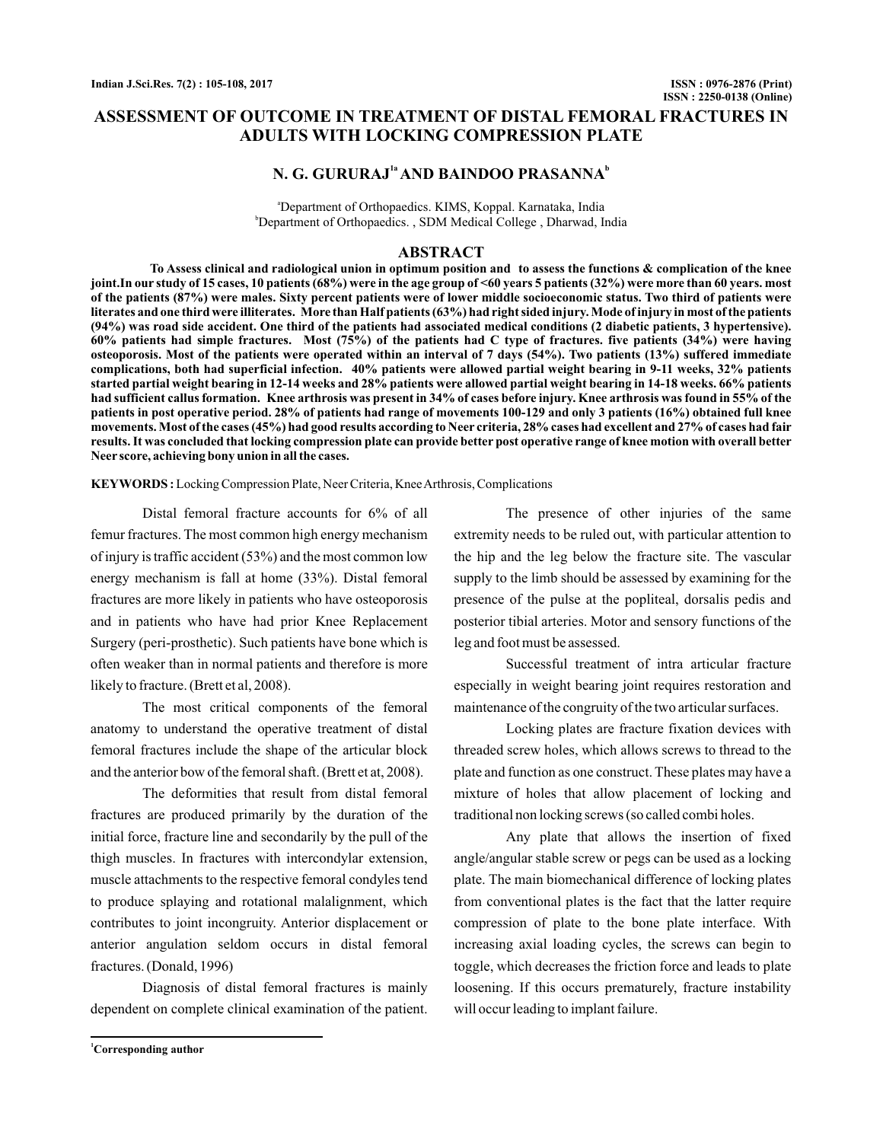# **ASSESSMENT OF OUTCOME IN TREATMENT OF DISTAL FEMORAL FRACTURES IN ADULTS WITH LOCKING COMPRESSION PLATE**

# **N. G. GURURAJ<sup>1a</sup> AND BAINDOO PRASANNA<sup>b</sup>**

a Department of Orthopaedics. KIMS, Koppal. Karnataka, India b Department of Orthopaedics. , SDM Medical College , Dharwad, India

### **ABSTRACT**

**To Assess clinical and radiological union in optimum position and to assess the functions & complication of the knee joint.In our study of 15 cases, 10 patients (68%) were in the age group of <60 years 5 patients (32%) were more than 60 years. most of the patients (87%) were males. Sixty percent patients were of lower middle socioeconomic status. Two third of patients were literates and one third were illiterates. More than Half patients (63%) had right sided injury. Mode of injury in most of the patients (94%) was road side accident. One third of the patients had associated medical conditions (2 diabetic patients, 3 hypertensive). 60% patients had simple fractures. Most (75%) of the patients had C type of fractures. five patients (34%) were having osteoporosis. Most of the patients were operated within an interval of 7 days (54%). Two patients (13%) suffered immediate complications, both had superficial infection. 40% patients were allowed partial weight bearing in 9-11 weeks, 32% patients started partial weight bearing in 12-14 weeks and 28% patients were allowed partial weight bearing in 14-18 weeks. 66% patients had sufficient callus formation. Knee arthrosis was present in 34% of cases before injury. Knee arthrosis was found in 55% of the patients in post operative period. 28% of patients had range of movements 100-129 and only 3 patients (16%) obtained full knee movements. Most of the cases (45%) had good results according to Neer criteria, 28% cases had excellent and 27% of cases had fair results. It was concluded that locking compression plate can provide better post operative range of knee motion with overall better Neer score, achieving bony union in all the cases.**

KEYWORDS: Locking Compression Plate, Neer Criteria, Knee Arthrosis, Complications

Distal femoral fracture accounts for 6% of all femur fractures. The most common high energy mechanism of injury is traffic accident (53%) and the most common low energy mechanism is fall at home (33%). Distal femoral fractures are more likely in patients who have osteoporosis and in patients who have had prior Knee Replacement Surgery (peri-prosthetic). Such patients have bone which is often weaker than in normal patients and therefore is more likely to fracture. (Brett et al, 2008).

The most critical components of the femoral anatomy to understand the operative treatment of distal femoral fractures include the shape of the articular block and the anterior bow of the femoral shaft. (Brett et at, 2008).

The deformities that result from distal femoral fractures are produced primarily by the duration of the initial force, fracture line and secondarily by the pull of the thigh muscles. In fractures with intercondylar extension, muscle attachments to the respective femoral condyles tend to produce splaying and rotational malalignment, which contributes to joint incongruity. Anterior displacement or anterior angulation seldom occurs in distal femoral fractures. (Donald, 1996)

Diagnosis of distal femoral fractures is mainly dependent on complete clinical examination of the patient.

The presence of other injuries of the same extremity needs to be ruled out, with particular attention to the hip and the leg below the fracture site. The vascular supply to the limb should be assessed by examining for the presence of the pulse at the popliteal, dorsalis pedis and posterior tibial arteries. Motor and sensory functions of the leg and foot must be assessed.

Successful treatment of intra articular fracture especially in weight bearing joint requires restoration and maintenance of the congruity of the two articular surfaces.

Locking plates are fracture fixation devices with threaded screw holes, which allows screws to thread to the plate and function as one construct. These plates may have a mixture of holes that allow placement of locking and traditional non locking screws (so called combi holes.

Any plate that allows the insertion of fixed angle/angular stable screw or pegs can be used as a locking plate. The main biomechanical difference of locking plates from conventional plates is the fact that the latter require compression of plate to the bone plate interface. With increasing axial loading cycles, the screws can begin to toggle, which decreases the friction force and leads to plate loosening. If this occurs prematurely, fracture instability will occur leading to implant failure.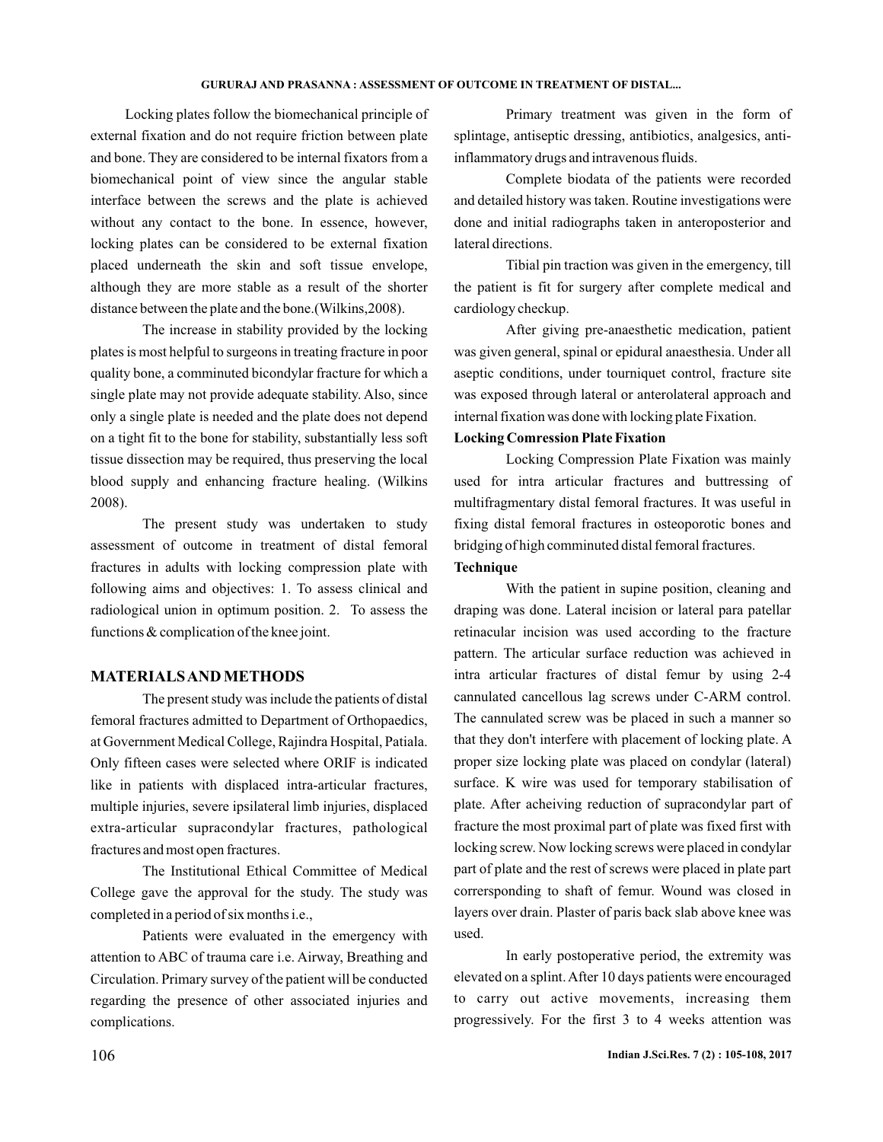#### **GURURAJ AND PRASANNA : ASSESSMENT OF OUTCOME IN TREATMENT OF DISTAL...**

Locking plates follow the biomechanical principle of external fixation and do not require friction between plate and bone. They are considered to be internal fixators from a biomechanical point of view since the angular stable interface between the screws and the plate is achieved without any contact to the bone. In essence, however, locking plates can be considered to be external fixation placed underneath the skin and soft tissue envelope, although they are more stable as a result of the shorter distance between the plate and the bone.(Wilkins,2008).

The increase in stability provided by the locking plates is most helpful to surgeons in treating fracture in poor quality bone, a comminuted bicondylar fracture for which a single plate may not provide adequate stability. Also, since only a single plate is needed and the plate does not depend on a tight fit to the bone for stability, substantially less soft tissue dissection may be required, thus preserving the local blood supply and enhancing fracture healing. (Wilkins 2008).

The present study was undertaken to study assessment of outcome in treatment of distal femoral fractures in adults with locking compression plate with following aims and objectives: 1. To assess clinical and radiological union in optimum position. 2. To assess the functions & complication of the knee joint.

## **MATERIALSAND METHODS**

The present study was include the patients of distal femoral fractures admitted to Department of Orthopaedics, at Government Medical College, Rajindra Hospital, Patiala. Only fifteen cases were selected where ORIF is indicated like in patients with displaced intra-articular fractures, multiple injuries, severe ipsilateral limb injuries, displaced extra-articular supracondylar fractures, pathological fractures and most open fractures.

The Institutional Ethical Committee of Medical College gave the approval for the study. The study was completed in a period of six months i.e.,

Patients were evaluated in the emergency with attention to ABC of trauma care i.e. Airway, Breathing and Circulation. Primary survey of the patient will be conducted regarding the presence of other associated injuries and complications.

Primary treatment was given in the form of splintage, antiseptic dressing, antibiotics, analgesics, antiinflammatory drugs and intravenous fluids.

Complete biodata of the patients were recorded and detailed history was taken. Routine investigations were done and initial radiographs taken in anteroposterior and lateral directions.

Tibial pin traction was given in the emergency, till the patient is fit for surgery after complete medical and cardiology checkup.

After giving pre-anaesthetic medication, patient was given general, spinal or epidural anaesthesia. Under all aseptic conditions, under tourniquet control, fracture site was exposed through lateral or anterolateral approach and internal fixation was done with locking plate Fixation.

#### **Locking Comression Plate Fixation**

Locking Compression Plate Fixation was mainly used for intra articular fractures and buttressing of multifragmentary distal femoral fractures. It was useful in fixing distal femoral fractures in osteoporotic bones and bridging of high comminuted distal femoral fractures.

# **Technique**

With the patient in supine position, cleaning and draping was done. Lateral incision or lateral para patellar retinacular incision was used according to the fracture pattern. The articular surface reduction was achieved in intra articular fractures of distal femur by using 2-4 cannulated cancellous lag screws under C-ARM control. The cannulated screw was be placed in such a manner so that they don't interfere with placement of locking plate. A proper size locking plate was placed on condylar (lateral) surface. K wire was used for temporary stabilisation of plate. After acheiving reduction of supracondylar part of fracture the most proximal part of plate was fixed first with locking screw. Now locking screws were placed in condylar part of plate and the rest of screws were placed in plate part corrersponding to shaft of femur. Wound was closed in layers over drain. Plaster of paris back slab above knee was used.

In early postoperative period, the extremity was elevated on a splint.After 10 days patients were encouraged to carry out active movements, increasing them progressively. For the first 3 to 4 weeks attention was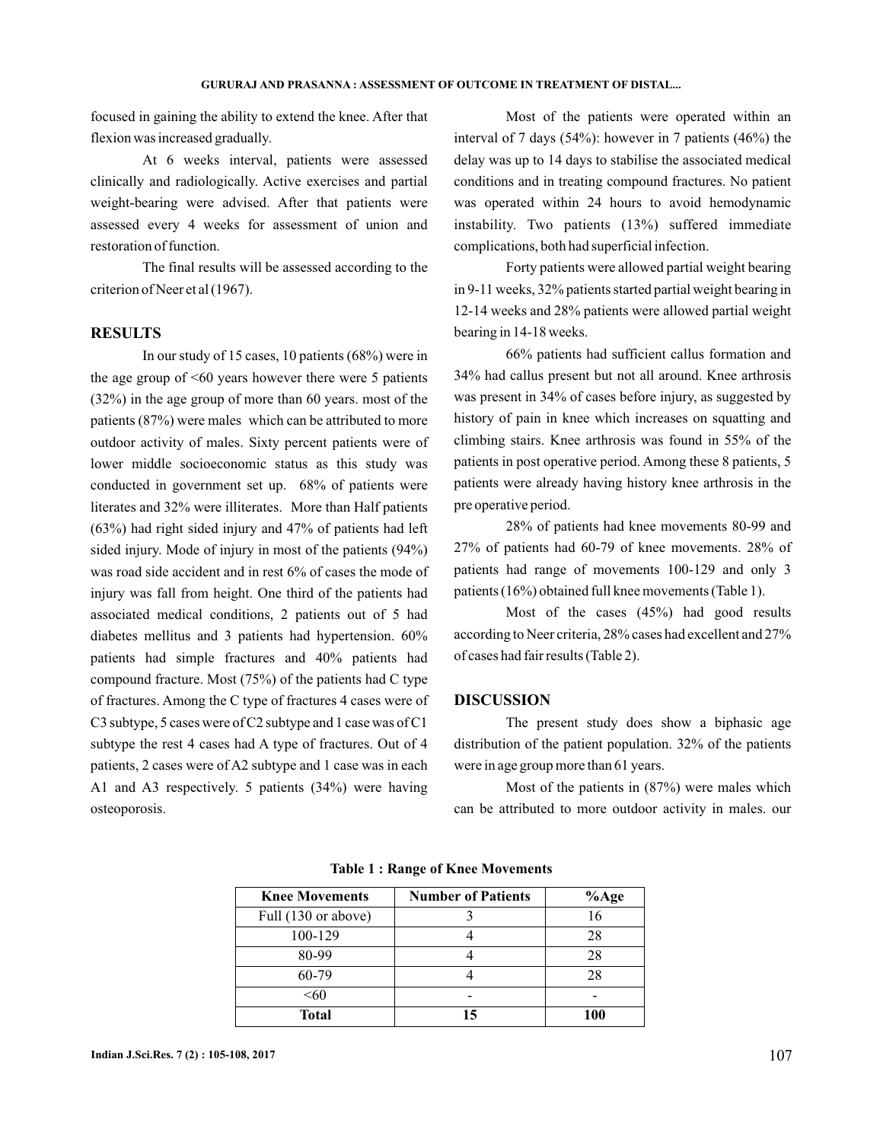focused in gaining the ability to extend the knee. After that flexion was increased gradually.

At 6 weeks interval, patients were assessed clinically and radiologically. Active exercises and partial weight-bearing were advised. After that patients were assessed every 4 weeks for assessment of union and restoration of function.

The final results will be assessed according to the criterion of Neer et al (1967).

# **RESULTS**

In our study of 15 cases, 10 patients (68%) were in the age group of  $\leq 60$  years however there were 5 patients (32%) in the age group of more than 60 years. most of the patients (87%) were males which can be attributed to more outdoor activity of males. Sixty percent patients were of lower middle socioeconomic status as this study was conducted in government set up. 68% of patients were literates and 32% were illiterates. More than Half patients (63%) had right sided injury and 47% of patients had left sided injury. Mode of injury in most of the patients (94%) was road side accident and in rest 6% of cases the mode of injury was fall from height. One third of the patients had associated medical conditions, 2 patients out of 5 had diabetes mellitus and 3 patients had hypertension. 60% patients had simple fractures and 40% patients had compound fracture. Most (75%) of the patients had C type of fractures. Among the C type of fractures 4 cases were of C3 subtype, 5 cases were of C2 subtype and 1 case was of C1 subtype the rest 4 cases had A type of fractures. Out of 4 patients, 2 cases were of A2 subtype and 1 case was in each A1 and A3 respectively. 5 patients (34%) were having osteoporosis.

Most of the patients were operated within an interval of 7 days (54%): however in 7 patients (46%) the delay was up to 14 days to stabilise the associated medical conditions and in treating compound fractures. No patient was operated within 24 hours to avoid hemodynamic instability. Two patients (13%) suffered immediate complications, both had superficial infection.

Forty patients were allowed partial weight bearing in 9-11 weeks, 32% patients started partial weight bearing in 12-14 weeks and 28% patients were allowed partial weight bearing in 14-18 weeks.

66% patients had sufficient callus formation and 34% had callus present but not all around. Knee arthrosis was present in 34% of cases before injury, as suggested by history of pain in knee which increases on squatting and climbing stairs. Knee arthrosis was found in 55% of the patients in post operative period. Among these 8 patients, 5 patients were already having history knee arthrosis in the pre operative period.

28% of patients had knee movements 80-99 and 27% of patients had 60-79 of knee movements. 28% of patients had range of movements 100-129 and only 3 patients (16%) obtained full knee movements (Table 1).

Most of the cases (45%) had good results according to Neer criteria, 28% cases had excellent and 27% of cases had fair results (Table 2).

#### **DISCUSSION**

The present study does show a biphasic age distribution of the patient population. 32% of the patients were in age group more than 61 years.

Most of the patients in (87%) were males which can be attributed to more outdoor activity in males. our

| <b>Knee Movements</b> | <b>Number of Patients</b> | $%$ Age |
|-----------------------|---------------------------|---------|
| Full (130 or above)   |                           | 16      |
| 100-129               |                           | 28      |
| 80-99                 |                           | 28      |
| 60-79                 |                           | 28      |
| < 60                  |                           |         |
| <b>Total</b>          | 15                        | 100     |

**Table 1 : Range of Knee Movements**